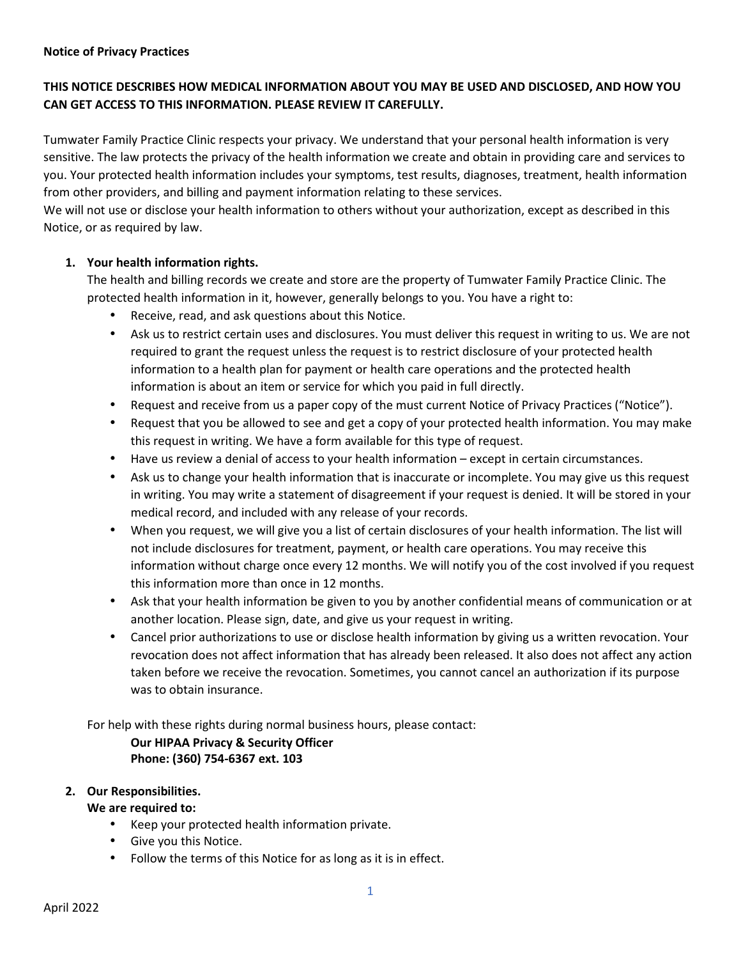#### **Notice of Privacy Practices**

# **THIS NOTICE DESCRIBES HOW MEDICAL INFORMATION ABOUT YOU MAY BE USED AND DISCLOSED, AND HOW YOU CAN GET ACCESS TO THIS INFORMATION. PLEASE REVIEW IT CAREFULLY.**

Tumwater Family Practice Clinic respects your privacy. We understand that your personal health information is very sensitive. The law protects the privacy of the health information we create and obtain in providing care and services to you. Your protected health information includes your symptoms, test results, diagnoses, treatment, health information from other providers, and billing and payment information relating to these services.

We will not use or disclose your health information to others without your authorization, except as described in this Notice, or as required by law.

### **1. Your health information rights.**

The health and billing records we create and store are the property of Tumwater Family Practice Clinic. The protected health information in it, however, generally belongs to you. You have a right to:

- Receive, read, and ask questions about this Notice.
- Ask us to restrict certain uses and disclosures. You must deliver this request in writing to us. We are not required to grant the request unless the request is to restrict disclosure of your protected health information to a health plan for payment or health care operations and the protected health information is about an item or service for which you paid in full directly.
- Request and receive from us a paper copy of the must current Notice of Privacy Practices ("Notice").
- Request that you be allowed to see and get a copy of your protected health information. You may make this request in writing. We have a form available for this type of request.
- Have us review a denial of access to your health information except in certain circumstances.
- Ask us to change your health information that is inaccurate or incomplete. You may give us this request in writing. You may write a statement of disagreement if your request is denied. It will be stored in your medical record, and included with any release of your records.
- When you request, we will give you a list of certain disclosures of your health information. The list will not include disclosures for treatment, payment, or health care operations. You may receive this information without charge once every 12 months. We will notify you of the cost involved if you request this information more than once in 12 months.
- Ask that your health information be given to you by another confidential means of communication or at another location. Please sign, date, and give us your request in writing.
- Cancel prior authorizations to use or disclose health information by giving us a written revocation. Your revocation does not affect information that has already been released. It also does not affect any action taken before we receive the revocation. Sometimes, you cannot cancel an authorization if its purpose was to obtain insurance.

For help with these rights during normal business hours, please contact:

### **Our HIPAA Privacy & Security Officer Phone: (360) 754-6367 ext. 103**

#### **2. Our Responsibilities.**

**We are required to:** 

- Keep your protected health information private.
- Give you this Notice.
- Follow the terms of this Notice for as long as it is in effect.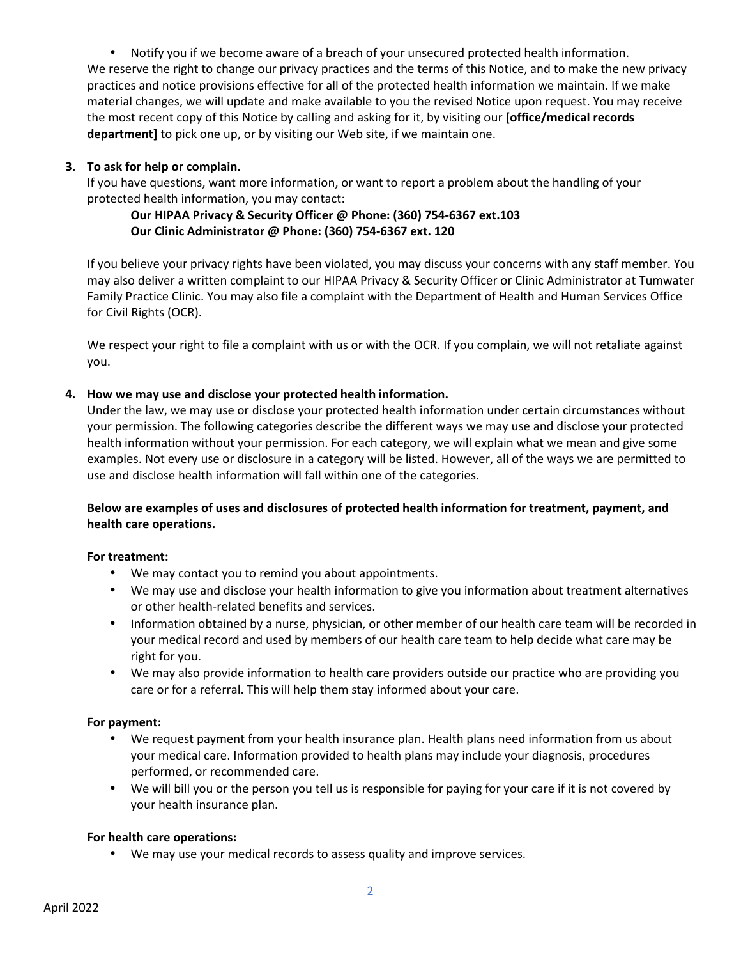• Notify you if we become aware of a breach of your unsecured protected health information. We reserve the right to change our privacy practices and the terms of this Notice, and to make the new privacy practices and notice provisions effective for all of the protected health information we maintain. If we make material changes, we will update and make available to you the revised Notice upon request. You may receive the most recent copy of this Notice by calling and asking for it, by visiting our **[office/medical records department]** to pick one up, or by visiting our Web site, if we maintain one.

### **3. To ask for help or complain.**

If you have questions, want more information, or want to report a problem about the handling of your protected health information, you may contact:

### **Our HIPAA Privacy & Security Officer @ Phone: (360) 754-6367 ext.103 Our Clinic Administrator @ Phone: (360) 754-6367 ext. 120**

If you believe your privacy rights have been violated, you may discuss your concerns with any staff member. You may also deliver a written complaint to our HIPAA Privacy & Security Officer or Clinic Administrator at Tumwater Family Practice Clinic. You may also file a complaint with the Department of Health and Human Services Office for Civil Rights (OCR).

We respect your right to file a complaint with us or with the OCR. If you complain, we will not retaliate against you.

### **4. How we may use and disclose your protected health information.**

Under the law, we may use or disclose your protected health information under certain circumstances without your permission. The following categories describe the different ways we may use and disclose your protected health information without your permission. For each category, we will explain what we mean and give some examples. Not every use or disclosure in a category will be listed. However, all of the ways we are permitted to use and disclose health information will fall within one of the categories.

### **Below are examples of uses and disclosures of protected health information for treatment, payment, and health care operations.**

#### **For treatment:**

- We may contact you to remind you about appointments.
- We may use and disclose your health information to give you information about treatment alternatives or other health-related benefits and services.
- Information obtained by a nurse, physician, or other member of our health care team will be recorded in your medical record and used by members of our health care team to help decide what care may be right for you.
- We may also provide information to health care providers outside our practice who are providing you care or for a referral. This will help them stay informed about your care.

#### **For payment:**

- We request payment from your health insurance plan. Health plans need information from us about your medical care. Information provided to health plans may include your diagnosis, procedures performed, or recommended care.
- We will bill you or the person you tell us is responsible for paying for your care if it is not covered by your health insurance plan.

#### **For health care operations:**

• We may use your medical records to assess quality and improve services.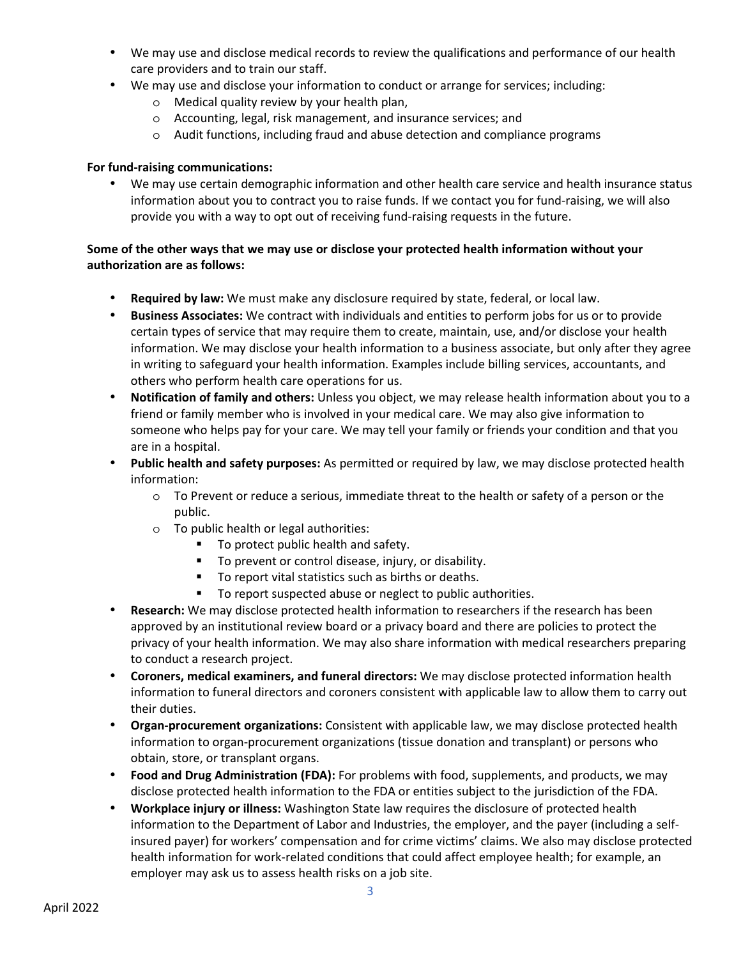- We may use and disclose medical records to review the qualifications and performance of our health care providers and to train our staff.
- We may use and disclose your information to conduct or arrange for services; including:
	- o Medical quality review by your health plan,
	- o Accounting, legal, risk management, and insurance services; and
	- o Audit functions, including fraud and abuse detection and compliance programs

#### **For fund-raising communications:**

• We may use certain demographic information and other health care service and health insurance status information about you to contract you to raise funds. If we contact you for fund-raising, we will also provide you with a way to opt out of receiving fund-raising requests in the future.

## **Some of the other ways that we may use or disclose your protected health information without your authorization are as follows:**

- **Required by law:** We must make any disclosure required by state, federal, or local law.
- **Business Associates:** We contract with individuals and entities to perform jobs for us or to provide certain types of service that may require them to create, maintain, use, and/or disclose your health information. We may disclose your health information to a business associate, but only after they agree in writing to safeguard your health information. Examples include billing services, accountants, and others who perform health care operations for us.
- **Notification of family and others:** Unless you object, we may release health information about you to a friend or family member who is involved in your medical care. We may also give information to someone who helps pay for your care. We may tell your family or friends your condition and that you are in a hospital.
- **Public health and safety purposes:** As permitted or required by law, we may disclose protected health information:
	- o To Prevent or reduce a serious, immediate threat to the health or safety of a person or the public.
	- o To public health or legal authorities:
		- To protect public health and safety.
		- To prevent or control disease, injury, or disability.
		- To report vital statistics such as births or deaths.
		- To report suspected abuse or neglect to public authorities.
- **Research:** We may disclose protected health information to researchers if the research has been approved by an institutional review board or a privacy board and there are policies to protect the privacy of your health information. We may also share information with medical researchers preparing to conduct a research project.
- **Coroners, medical examiners, and funeral directors:** We may disclose protected information health information to funeral directors and coroners consistent with applicable law to allow them to carry out their duties.
- **Organ-procurement organizations:** Consistent with applicable law, we may disclose protected health information to organ-procurement organizations (tissue donation and transplant) or persons who obtain, store, or transplant organs.
- **Food and Drug Administration (FDA):** For problems with food, supplements, and products, we may disclose protected health information to the FDA or entities subject to the jurisdiction of the FDA.
- **Workplace injury or illness:** Washington State law requires the disclosure of protected health information to the Department of Labor and Industries, the employer, and the payer (including a selfinsured payer) for workers' compensation and for crime victims' claims. We also may disclose protected health information for work-related conditions that could affect employee health; for example, an employer may ask us to assess health risks on a job site.